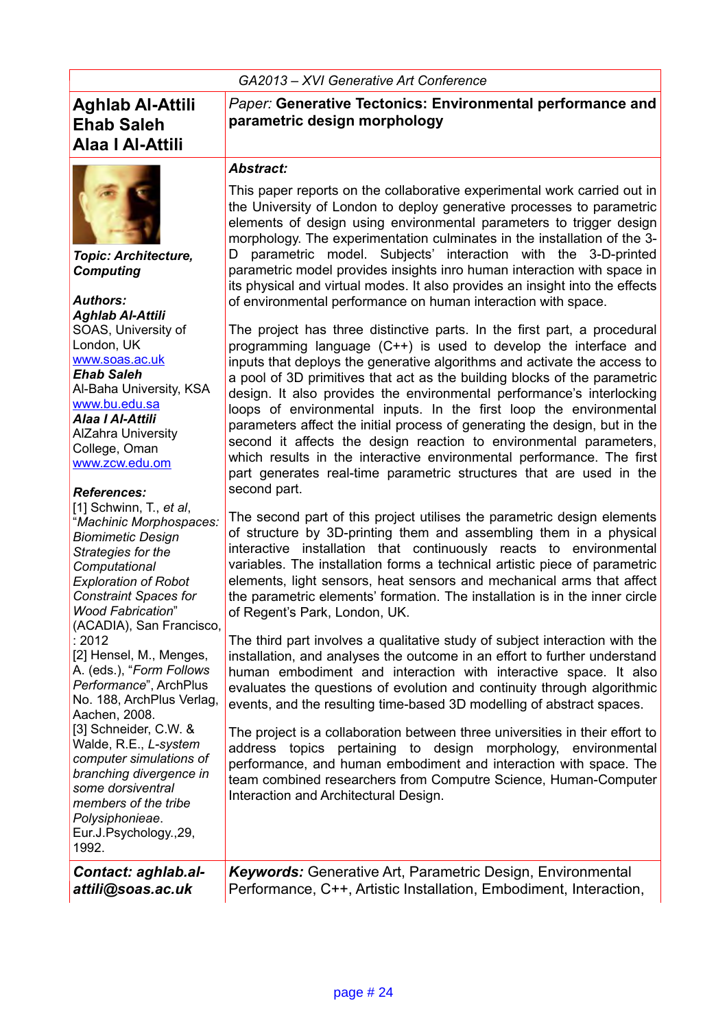*GA2013 – XVI Generative Art Conference* 

### **Aghlab Al-Attili Ehab Saleh Alaa I Al-Attili**



*Topic: Architecture, Computing*

*Authors: Aghlab Al-Attili* SOAS, University of London, UK [www.soas.ac.uk](http://www.soas.ac.uk/)

*Ehab Saleh* Al-Baha University, KSA [www.bu.edu.sa](http://www.bu.edu.sa/) *Alaa I Al-Attili* AlZahra University College, Oman [www.zcw.edu.om](http://www.zcw.edu.om/)

#### *References:*

| [1] Schwinn, T., et al,<br>"Machinic Morphospaces:<br><b>Biomimetic Design</b><br>Strategies for the |
|------------------------------------------------------------------------------------------------------|
| Computational                                                                                        |
| <b>Exploration of Robot</b>                                                                          |
| <b>Constraint Spaces for</b>                                                                         |
| <b>Wood Fabrication</b> "                                                                            |
| (ACADIA), San Francisco,                                                                             |
| : 2012                                                                                               |
| [2] Hensel, M., Menges,                                                                              |
| A. (eds.), "Form Follows                                                                             |
| Performance", ArchPlus                                                                               |
| No. 188, ArchPlus Verlag,                                                                            |
| Aachen, 2008.                                                                                        |
| [3] Schneider, C.W. &                                                                                |
| Walde, R.E., L-system                                                                                |
| computer simulations of                                                                              |
| branching divergence in                                                                              |
| some dorsiventral                                                                                    |
| members of the tribe                                                                                 |
| Polysiphonieae.                                                                                      |
| Eur.J.Psychology.,29,                                                                                |
| 1992.                                                                                                |
|                                                                                                      |

*Contact: aghlab.alattili@soas.ac.uk*

*Paper:* **Generative Tectonics: Environmental performance and parametric design morphology**

#### *Abstract:*

This paper reports on the collaborative experimental work carried out in the University of London to deploy generative processes to parametric elements of design using environmental parameters to trigger design morphology. The experimentation culminates in the installation of the 3- D parametric model. Subjects' interaction with the 3-D-printed parametric model provides insights inro human interaction with space in its physical and virtual modes. It also provides an insight into the effects of environmental performance on human interaction with space.

The project has three distinctive parts. In the first part, a procedural programming language (C++) is used to develop the interface and inputs that deploys the generative algorithms and activate the access to a pool of 3D primitives that act as the building blocks of the parametric design. It also provides the environmental performance's interlocking loops of environmental inputs. In the first loop the environmental parameters affect the initial process of generating the design, but in the second it affects the design reaction to environmental parameters, which results in the interactive environmental performance. The first part generates real-time parametric structures that are used in the second part.

The second part of this project utilises the parametric design elements of structure by 3D-printing them and assembling them in a physical interactive installation that continuously reacts to environmental variables. The installation forms a technical artistic piece of parametric elements, light sensors, heat sensors and mechanical arms that affect the parametric elements' formation. The installation is in the inner circle of Regent's Park, London, UK.

The third part involves a qualitative study of subject interaction with the installation, and analyses the outcome in an effort to further understand human embodiment and interaction with interactive space. It also evaluates the questions of evolution and continuity through algorithmic events, and the resulting time-based 3D modelling of abstract spaces.

The project is a collaboration between three universities in their effort to address topics pertaining to design morphology, environmental performance, and human embodiment and interaction with space. The team combined researchers from Computre Science, Human-Computer Interaction and Architectural Design.

*Keywords:* Generative Art, Parametric Design, Environmental Performance, C++, Artistic Installation, Embodiment, Interaction,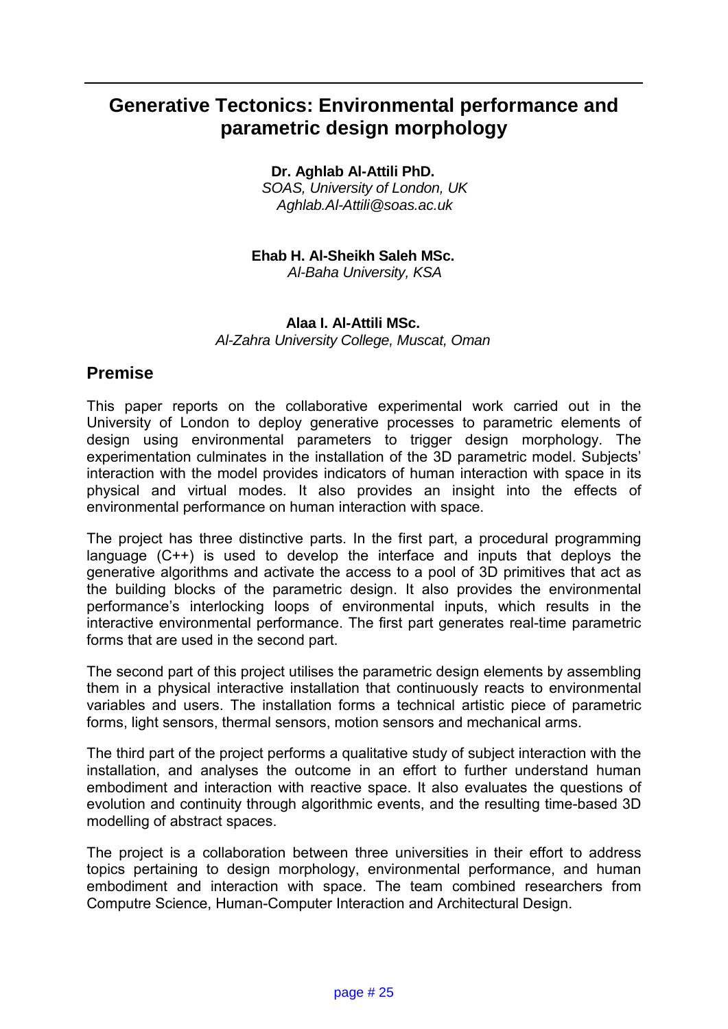# **Generative Tectonics: Environmental performance and parametric design morphology**

**Dr. Aghlab Al-Attili PhD.** 

*SOAS, University of London, UK Aghlab.Al-Attili@soas.ac.uk*

**Ehab H. Al-Sheikh Saleh MSc.** *Al-Baha University, KSA*

#### **Alaa I. Al-Attili MSc.** *Al-Zahra University College, Muscat, Oman*

### **Premise**

This paper reports on the collaborative experimental work carried out in the University of London to deploy generative processes to parametric elements of design using environmental parameters to trigger design morphology. The experimentation culminates in the installation of the 3D parametric model. Subjects' interaction with the model provides indicators of human interaction with space in its physical and virtual modes. It also provides an insight into the effects of environmental performance on human interaction with space.

The project has three distinctive parts. In the first part, a procedural programming language (C++) is used to develop the interface and inputs that deploys the generative algorithms and activate the access to a pool of 3D primitives that act as the building blocks of the parametric design. It also provides the environmental performance's interlocking loops of environmental inputs, which results in the interactive environmental performance. The first part generates real-time parametric forms that are used in the second part.

The second part of this project utilises the parametric design elements by assembling them in a physical interactive installation that continuously reacts to environmental variables and users. The installation forms a technical artistic piece of parametric forms, light sensors, thermal sensors, motion sensors and mechanical arms.

The third part of the project performs a qualitative study of subject interaction with the installation, and analyses the outcome in an effort to further understand human embodiment and interaction with reactive space. It also evaluates the questions of evolution and continuity through algorithmic events, and the resulting time-based 3D modelling of abstract spaces.

The project is a collaboration between three universities in their effort to address topics pertaining to design morphology, environmental performance, and human embodiment and interaction with space. The team combined researchers from Computre Science, Human-Computer Interaction and Architectural Design.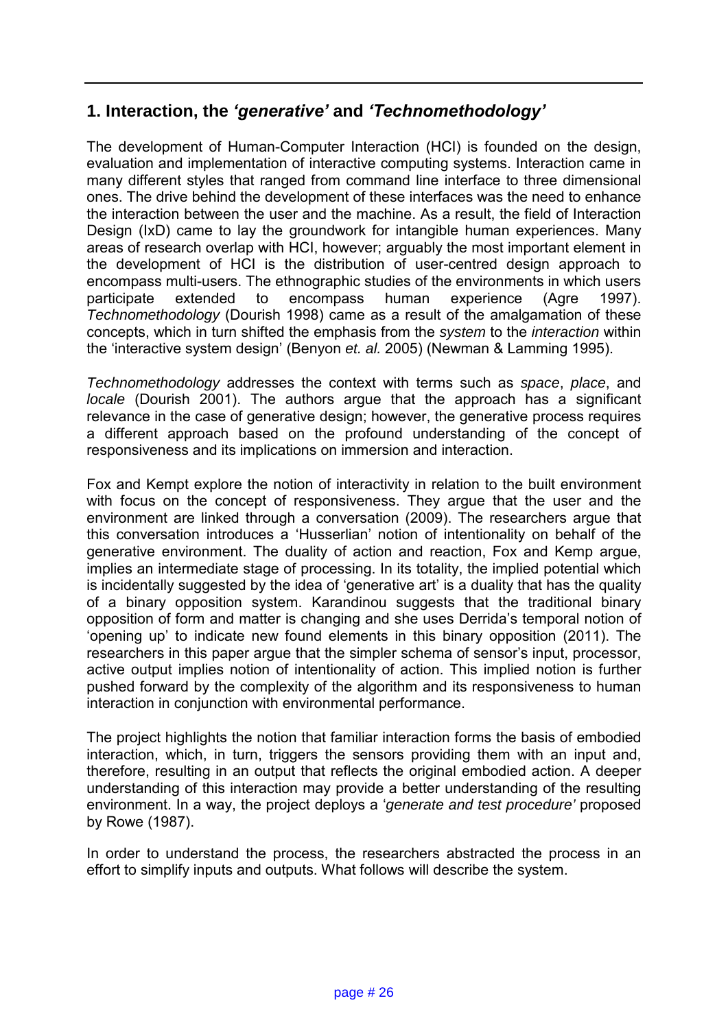### **1. Interaction, the** *'generative'* **and** *'Technomethodology'*

The development of Human-Computer Interaction (HCI) is founded on the design, evaluation and implementation of interactive computing systems. Interaction came in many different styles that ranged from command line interface to three dimensional ones. The drive behind the development of these interfaces was the need to enhance the interaction between the user and the machine. As a result, the field of Interaction Design (IxD) came to lay the groundwork for intangible human experiences. Many areas of research overlap with HCI, however; arguably the most important element in the development of HCI is the distribution of user-centred design approach to encompass multi-users. The ethnographic studies of the environments in which users participate extended to encompass human experience (Agre 1997). *Technomethodology* (Dourish 1998) came as a result of the amalgamation of these concepts, which in turn shifted the emphasis from the *system* to the *interaction* within the 'interactive system design' (Benyon *et. al.* 2005) (Newman & Lamming 1995).

*Technomethodology* addresses the context with terms such as *space*, *place*, and *locale* (Dourish 2001). The authors argue that the approach has a significant relevance in the case of generative design; however, the generative process requires a different approach based on the profound understanding of the concept of responsiveness and its implications on immersion and interaction.

Fox and Kempt explore the notion of interactivity in relation to the built environment with focus on the concept of responsiveness. They argue that the user and the environment are linked through a conversation (2009). The researchers argue that this conversation introduces a 'Husserlian' notion of intentionality on behalf of the generative environment. The duality of action and reaction, Fox and Kemp argue, implies an intermediate stage of processing. In its totality, the implied potential which is incidentally suggested by the idea of 'generative art' is a duality that has the quality of a binary opposition system. Karandinou suggests that the traditional binary opposition of form and matter is changing and she uses Derrida's temporal notion of 'opening up' to indicate new found elements in this binary opposition (2011). The researchers in this paper argue that the simpler schema of sensor's input, processor, active output implies notion of intentionality of action. This implied notion is further pushed forward by the complexity of the algorithm and its responsiveness to human interaction in conjunction with environmental performance.

The project highlights the notion that familiar interaction forms the basis of embodied interaction, which, in turn, triggers the sensors providing them with an input and, therefore, resulting in an output that reflects the original embodied action. A deeper understanding of this interaction may provide a better understanding of the resulting environment. In a way, the project deploys a '*generate and test procedure'* proposed by Rowe (1987).

In order to understand the process, the researchers abstracted the process in an effort to simplify inputs and outputs. What follows will describe the system.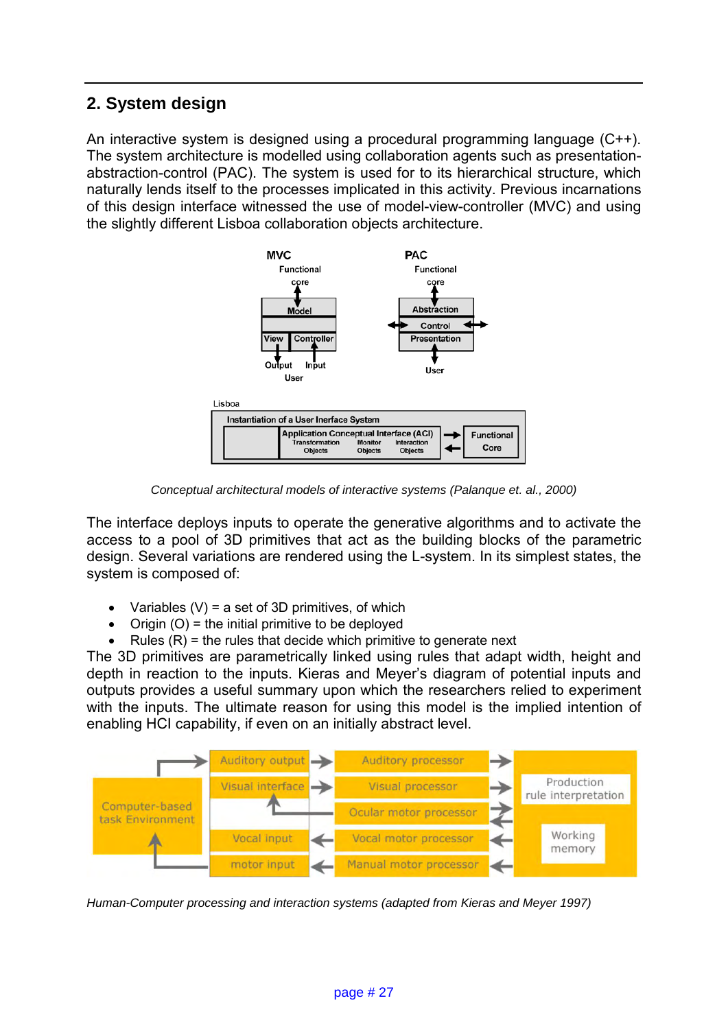# **2. System design**

An interactive system is designed using a procedural programming language (C++). The system architecture is modelled using collaboration agents such as presentationabstraction-control (PAC). The system is used for to its hierarchical structure, which naturally lends itself to the processes implicated in this activity. Previous incarnations of this design interface witnessed the use of model-view-controller (MVC) and using the slightly different Lisboa collaboration objects architecture.



*Conceptual architectural models of interactive systems (Palanque et. al., 2000)*

The interface deploys inputs to operate the generative algorithms and to activate the access to a pool of 3D primitives that act as the building blocks of the parametric design. Several variations are rendered using the L-system. In its simplest states, the system is composed of:

- Variables  $(V)$  = a set of 3D primitives, of which
- Origin  $(O)$  = the initial primitive to be deployed
- Rules  $(R)$  = the rules that decide which primitive to generate next

The 3D primitives are parametrically linked using rules that adapt width, height and depth in reaction to the inputs. Kieras and Meyer's diagram of potential inputs and outputs provides a useful summary upon which the researchers relied to experiment with the inputs. The ultimate reason for using this model is the implied intention of enabling HCI capability, if even on an initially abstract level.



*Human-Computer processing and interaction systems (adapted from Kieras and Meyer 1997)*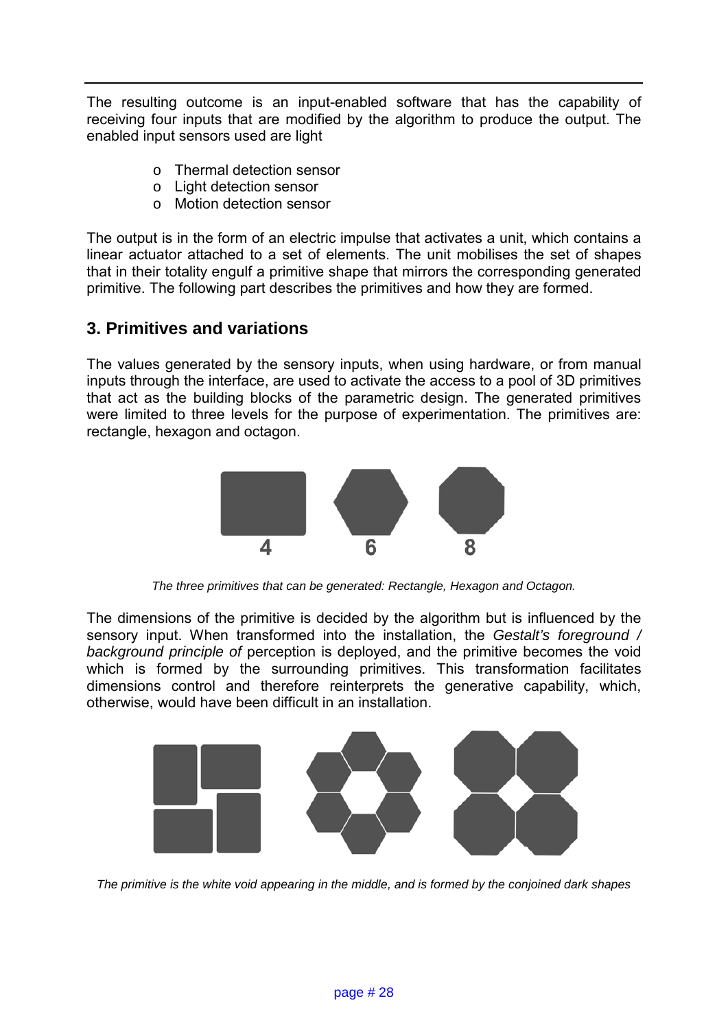The resulting outcome is an input-enabled software that has the capability of receiving four inputs that are modified by the algorithm to produce the output. The enabled input sensors used are light

- o Thermal detection sensor
- o Light detection sensor
- o Motion detection sensor

The output is in the form of an electric impulse that activates a unit, which contains a linear actuator attached to a set of elements. The unit mobilises the set of shapes that in their totality engulf a primitive shape that mirrors the corresponding generated primitive. The following part describes the primitives and how they are formed.

### **3. Primitives and variations**

The values generated by the sensory inputs, when using hardware, or from manual inputs through the interface, are used to activate the access to a pool of 3D primitives that act as the building blocks of the parametric design. The generated primitives were limited to three levels for the purpose of experimentation. The primitives are: rectangle, hexagon and octagon.



*The three primitives that can be generated: Rectangle, Hexagon and Octagon.*

The dimensions of the primitive is decided by the algorithm but is influenced by the sensory input. When transformed into the installation, the *Gestalt's foreground / background principle of* perception is deployed, and the primitive becomes the void which is formed by the surrounding primitives. This transformation facilitates dimensions control and therefore reinterprets the generative capability, which, otherwise, would have been difficult in an installation.



*The primitive is the white void appearing in the middle, and is formed by the conjoined dark shapes*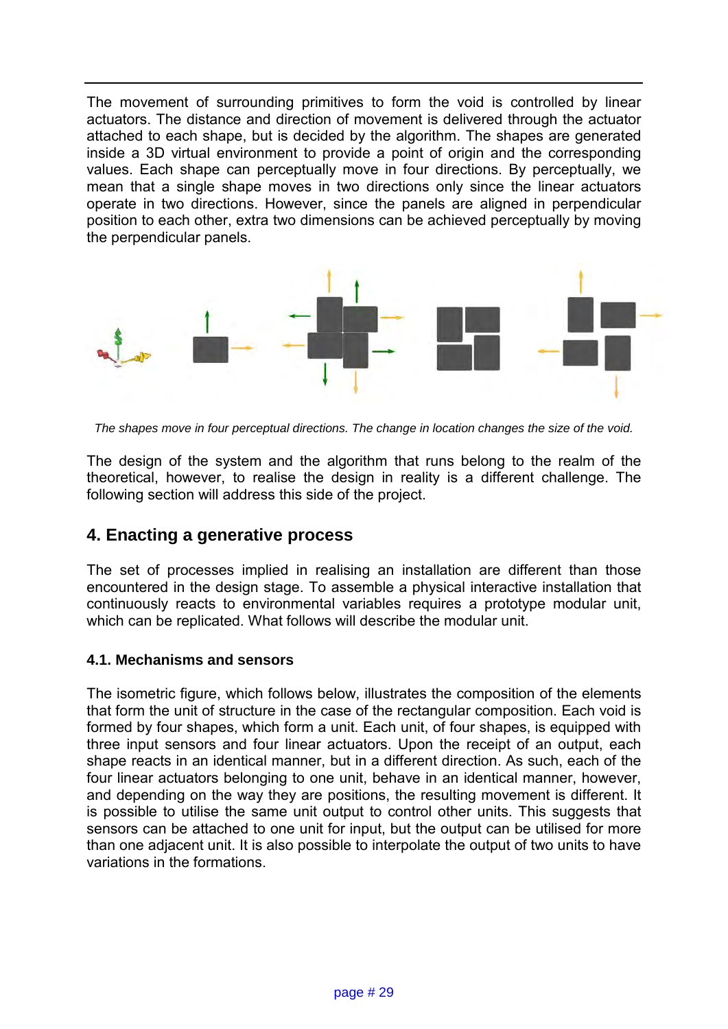The movement of surrounding primitives to form the void is controlled by linear actuators. The distance and direction of movement is delivered through the actuator attached to each shape, but is decided by the algorithm. The shapes are generated inside a 3D virtual environment to provide a point of origin and the corresponding values. Each shape can perceptually move in four directions. By perceptually, we mean that a single shape moves in two directions only since the linear actuators operate in two directions. However, since the panels are aligned in perpendicular position to each other, extra two dimensions can be achieved perceptually by moving the perpendicular panels.



*The shapes move in four perceptual directions. The change in location changes the size of the void.* 

The design of the system and the algorithm that runs belong to the realm of the theoretical, however, to realise the design in reality is a different challenge. The following section will address this side of the project.

#### **4. Enacting a generative process**

The set of processes implied in realising an installation are different than those encountered in the design stage. To assemble a physical interactive installation that continuously reacts to environmental variables requires a prototype modular unit, which can be replicated. What follows will describe the modular unit.

#### **4.1. Mechanisms and sensors**

The isometric figure, which follows below, illustrates the composition of the elements that form the unit of structure in the case of the rectangular composition. Each void is formed by four shapes, which form a unit. Each unit, of four shapes, is equipped with three input sensors and four linear actuators. Upon the receipt of an output, each shape reacts in an identical manner, but in a different direction. As such, each of the four linear actuators belonging to one unit, behave in an identical manner, however, and depending on the way they are positions, the resulting movement is different. It is possible to utilise the same unit output to control other units. This suggests that sensors can be attached to one unit for input, but the output can be utilised for more than one adjacent unit. It is also possible to interpolate the output of two units to have variations in the formations.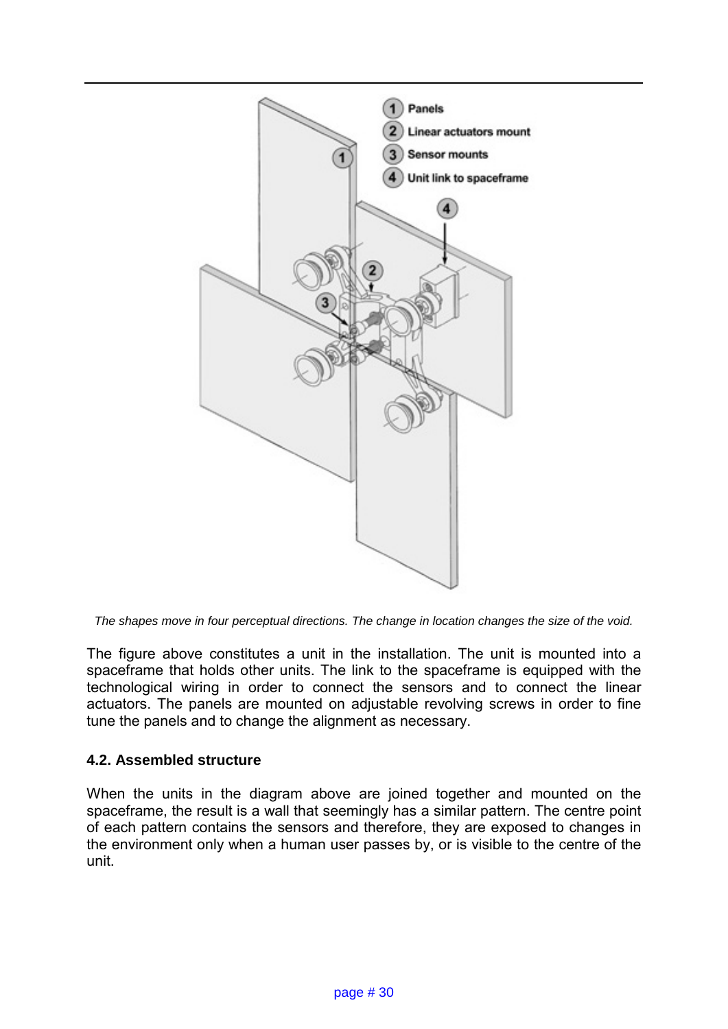

*The shapes move in four perceptual directions. The change in location changes the size of the void.* 

The figure above constitutes a unit in the installation. The unit is mounted into a spaceframe that holds other units. The link to the spaceframe is equipped with the technological wiring in order to connect the sensors and to connect the linear actuators. The panels are mounted on adjustable revolving screws in order to fine tune the panels and to change the alignment as necessary.

#### **4.2. Assembled structure**

When the units in the diagram above are joined together and mounted on the spaceframe, the result is a wall that seemingly has a similar pattern. The centre point of each pattern contains the sensors and therefore, they are exposed to changes in the environment only when a human user passes by, or is visible to the centre of the unit.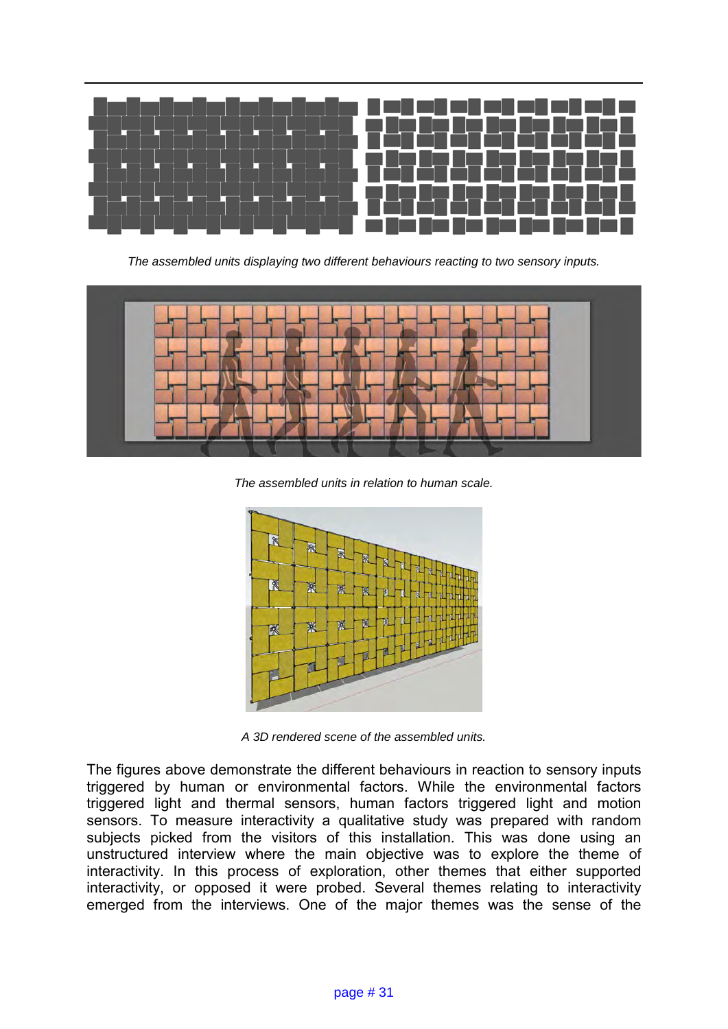

*The assembled units displaying two different behaviours reacting to two sensory inputs.* 



*The assembled units in relation to human scale.*



*A 3D rendered scene of the assembled units.*

The figures above demonstrate the different behaviours in reaction to sensory inputs triggered by human or environmental factors. While the environmental factors triggered light and thermal sensors, human factors triggered light and motion sensors. To measure interactivity a qualitative study was prepared with random subjects picked from the visitors of this installation. This was done using an unstructured interview where the main objective was to explore the theme of interactivity. In this process of exploration, other themes that either supported interactivity, or opposed it were probed. Several themes relating to interactivity emerged from the interviews. One of the major themes was the sense of the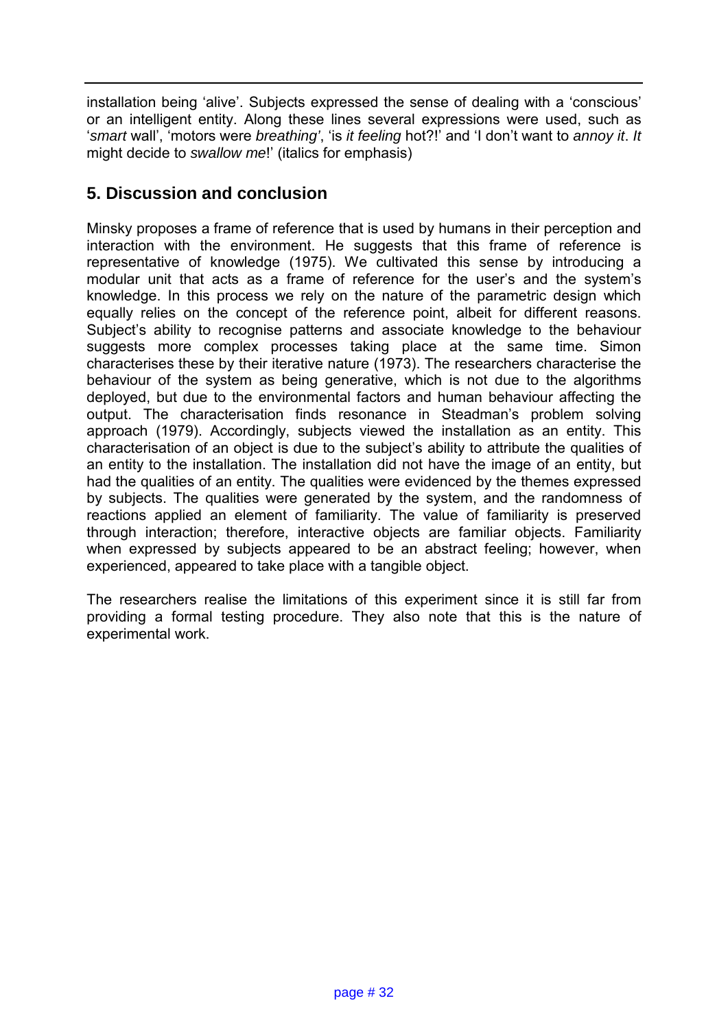installation being 'alive'. Subjects expressed the sense of dealing with a 'conscious' or an intelligent entity. Along these lines several expressions were used, such as '*smart* wall', 'motors were *breathing'*, 'is *it feeling* hot?!' and 'I don't want to *annoy it*. *It* might decide to *swallow me*!' (italics for emphasis)

## **5. Discussion and conclusion**

Minsky proposes a frame of reference that is used by humans in their perception and interaction with the environment. He suggests that this frame of reference is representative of knowledge (1975). We cultivated this sense by introducing a modular unit that acts as a frame of reference for the user's and the system's knowledge. In this process we rely on the nature of the parametric design which equally relies on the concept of the reference point, albeit for different reasons. Subject's ability to recognise patterns and associate knowledge to the behaviour suggests more complex processes taking place at the same time. Simon characterises these by their iterative nature (1973). The researchers characterise the behaviour of the system as being generative, which is not due to the algorithms deployed, but due to the environmental factors and human behaviour affecting the output. The characterisation finds resonance in Steadman's problem solving approach (1979). Accordingly, subjects viewed the installation as an entity. This characterisation of an object is due to the subject's ability to attribute the qualities of an entity to the installation. The installation did not have the image of an entity, but had the qualities of an entity. The qualities were evidenced by the themes expressed by subjects. The qualities were generated by the system, and the randomness of reactions applied an element of familiarity. The value of familiarity is preserved through interaction; therefore, interactive objects are familiar objects. Familiarity when expressed by subjects appeared to be an abstract feeling; however, when experienced, appeared to take place with a tangible object.

The researchers realise the limitations of this experiment since it is still far from providing a formal testing procedure. They also note that this is the nature of experimental work.